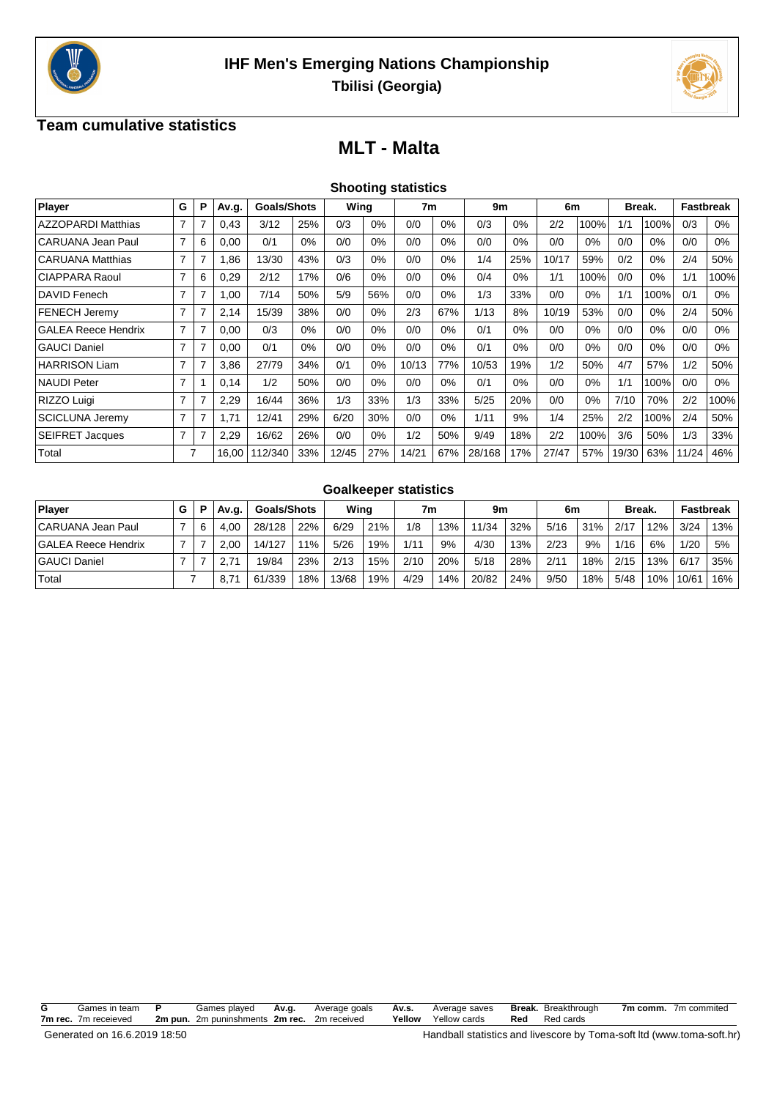



### **Team cumulative statistics**

# **MLT - Malta**

| <b>Shooting statistics</b> |  |  |
|----------------------------|--|--|
|                            |  |  |

| Player                     | G | P | Av.g. | <b>Goals/Shots</b> |     | Wing  |       | 7 <sub>m</sub> |       | 9m     |       | 6m    |       |       | Break. |       | <b>Fastbreak</b> |
|----------------------------|---|---|-------|--------------------|-----|-------|-------|----------------|-------|--------|-------|-------|-------|-------|--------|-------|------------------|
| <b>AZZOPARDI Matthias</b>  | 7 |   | 0,43  | 3/12               | 25% | 0/3   | $0\%$ | 0/0            | 0%    | 0/3    | 0%    | 2/2   | 100%  | 1/1   | 100%   | 0/3   | $0\%$            |
| CARUANA Jean Paul          | 7 | 6 | 0,00  | 0/1                | 0%  | 0/0   | $0\%$ | 0/0            | 0%    | 0/0    | 0%    | 0/0   | 0%    | 0/0   | 0%     | 0/0   | $0\%$            |
| <b>CARUANA Matthias</b>    | 7 |   | 1,86  | 13/30              | 43% | 0/3   | $0\%$ | 0/0            | 0%    | 1/4    | 25%   | 10/17 | 59%   | 0/2   | 0%     | 2/4   | 50%              |
| CIAPPARA Raoul             | 7 | 6 | 0,29  | 2/12               | 17% | 0/6   | $0\%$ | 0/0            | 0%    | 0/4    | $0\%$ | 1/1   | 100%  | 0/0   | $0\%$  | 1/1   | 100%             |
| DAVID Fenech               | 7 |   | 1,00  | 7/14               | 50% | 5/9   | 56%   | 0/0            | 0%    | 1/3    | 33%   | 0/0   | $0\%$ | 1/1   | 100%   | 0/1   | $0\%$            |
| <b>FENECH Jeremy</b>       | 7 | 7 | 2,14  | 15/39              | 38% | 0/0   | $0\%$ | 2/3            | 67%   | 1/13   | 8%    | 10/19 | 53%   | 0/0   | 0%     | 2/4   | 50%              |
| <b>GALEA Reece Hendrix</b> | 7 | 7 | 0,00  | 0/3                | 0%  | 0/0   | $0\%$ | 0/0            | 0%    | 0/1    | 0%    | 0/0   | $0\%$ | 0/0   | 0%     | 0/0   | $0\%$            |
| <b>GAUCI Daniel</b>        | 7 | 7 | 0,00  | 0/1                | 0%  | 0/0   | $0\%$ | 0/0            | $0\%$ | 0/1    | 0%    | 0/0   | $0\%$ | 0/0   | $0\%$  | 0/0   | $0\%$            |
| <b>HARRISON Liam</b>       | 7 |   | 3,86  | 27/79              | 34% | 0/1   | $0\%$ | 10/13          | 77%   | 10/53  | 19%   | 1/2   | 50%   | 4/7   | 57%    | 1/2   | 50%              |
| <b>NAUDI Peter</b>         | 7 |   | 0,14  | 1/2                | 50% | 0/0   | $0\%$ | 0/0            | $0\%$ | 0/1    | $0\%$ | 0/0   | $0\%$ | 1/1   | 100%   | 0/0   | $0\%$            |
| RIZZO Luigi                | 7 | 7 | 2,29  | 16/44              | 36% | 1/3   | 33%   | 1/3            | 33%   | 5/25   | 20%   | 0/0   | $0\%$ | 7/10  | 70%    | 2/2   | 100%             |
| <b>SCICLUNA Jeremy</b>     | 7 |   | 1,71  | 12/41              | 29% | 6/20  | 30%   | 0/0            | $0\%$ | 1/11   | 9%    | 1/4   | 25%   | 2/2   | 100%   | 2/4   | 50%              |
| <b>SEIFRET Jacques</b>     | 7 |   | 2,29  | 16/62              | 26% | 0/0   | $0\%$ | 1/2            | 50%   | 9/49   | 18%   | 2/2   | 100%  | 3/6   | 50%    | 1/3   | 33%              |
| Total                      |   |   | 16.00 | 112/340            | 33% | 12/45 | 27%   | 14/21          | 67%   | 28/168 | 17%   | 27/47 | 57%   | 19/30 | 63%    | 11/24 | 46%              |

#### **Goalkeeper statistics**

| Player                     |  | Av.g.         | <b>Goals/Shots</b> |     | Wina  |     | 7m   |     | 9m    |     | 6m   |     | <b>Break.</b> |     | Fastbreak |     |
|----------------------------|--|---------------|--------------------|-----|-------|-----|------|-----|-------|-----|------|-----|---------------|-----|-----------|-----|
| CARUANA Jean Paul          |  | 4.00          | 28/128             | 22% | 6/29  | 21% | 1/8  | 13% | 11/34 | 32% | 5/16 | 31% | 2/17          | 12% | 3/24      | 13% |
| <b>GALEA Reece Hendrix</b> |  | 2.00          | 14/127             | 11% | 5/26  | 19% | 1/11 | 9%  | 4/30  | 13% | 2/23 | 9%  | 1/16          | 6%  | 1/20      | 5%  |
| <b>GAUCI Daniel</b>        |  | 2.71          | 19/84              | 23% | 2/13  | 15% | 2/10 | 20% | 5/18  | 28% | 2/11 | 18% | 2/15          | 13% | 6/17      | 35% |
| Total                      |  | $8.7^{\circ}$ | 61/339             | 18% | 13/68 | 19% | 4/29 | 14% | 20/82 | 24% | 9/50 | 18% | 5/48          | 10% | 10/61     | 16% |

| G | Games in team P      | Games played                                | Av.g. | Average goals | Av.s. | Average saves              |     | <b>Break.</b> Breakthrough | 7m comm. 7m commited |
|---|----------------------|---------------------------------------------|-------|---------------|-------|----------------------------|-----|----------------------------|----------------------|
|   | 7m rec. 7m receieved | 2m pun. 2m puninshments 2m rec. 2m received |       |               |       | <b>Yellow</b> Yellow cards | Red | Red cards                  |                      |
|   |                      |                                             |       |               |       |                            |     |                            |                      |